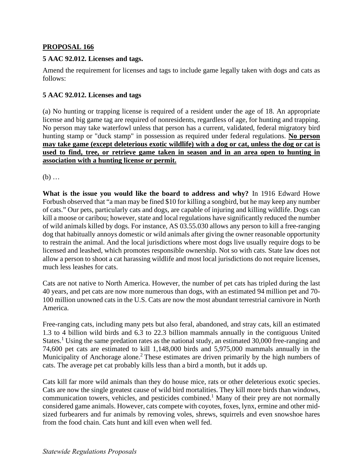## **PROPOSAL 166**

## **5 AAC 92.012. Licenses and tags.**

Amend the requirement for licenses and tags to include game legally taken with dogs and cats as follows:

## **5 AAC 92.012. Licenses and tags**

(a) No hunting or trapping license is required of a resident under the age of 18. An appropriate license and big game tag are required of nonresidents, regardless of age, for hunting and trapping. No person may take waterfowl unless that person has a current, validated, federal migratory bird hunting stamp or "duck stamp" in possession as required under federal regulations. **No person may take game (except deleterious exotic wildlife) with a dog or cat, unless the dog or cat is used to find, tree, or retrieve game taken in season and in an area open to hunting in association with a hunting license or permit.** 

(b) …

**What is the issue you would like the board to address and why?** In 1916 Edward Howe Forbush observed that "a man may be fined \$10 for killing a songbird, but he may keep any number of cats." Our pets, particularly cats and dogs, are capable of injuring and killing wildlife. Dogs can kill a moose or caribou; however, state and local regulations have significantly reduced the number of wild animals killed by dogs. For instance, AS 03.55.030 allows any person to kill a free-ranging dog that habitually annoys domestic or wild animals after giving the owner reasonable opportunity to restrain the animal. And the local jurisdictions where most dogs live usually require dogs to be licensed and leashed, which promotes responsible ownership. Not so with cats. State law does not allow a person to shoot a cat harassing wildlife and most local jurisdictions do not require licenses, much less leashes for cats.

Cats are not native to North America. However, the number of pet cats has tripled during the last 40 years, and pet cats are now more numerous than dogs, with an estimated 94 million pet and 70- 100 million unowned cats in the U.S. Cats are now the most abundant terrestrial carnivore in North America.

Free-ranging cats, including many pets but also feral, abandoned, and stray cats, kill an estimated 1.3 to 4 billion wild birds and 6.3 to 22.3 billion mammals annually in the contiguous United States.<sup>1</sup> Using the same predation rates as the national study, an estimated 30,000 free-ranging and 74,600 pet cats are estimated to kill 1,148,000 birds and 5,975,000 mammals annually in the Municipality of Anchorage alone.<sup>2</sup> These estimates are driven primarily by the high numbers of cats. The average pet cat probably kills less than a bird a month, but it adds up.

Cats kill far more wild animals than they do house mice, rats or other deleterious exotic species. Cats are now the single greatest cause of wild bird mortalities. They kill more birds than windows, communication towers, vehicles, and pesticides combined.<sup>1</sup> Many of their prey are not normally considered game animals. However, cats compete with coyotes, foxes, lynx, ermine and other midsized furbearers and fur animals by removing voles, shrews, squirrels and even snowshoe hares from the food chain. Cats hunt and kill even when well fed.